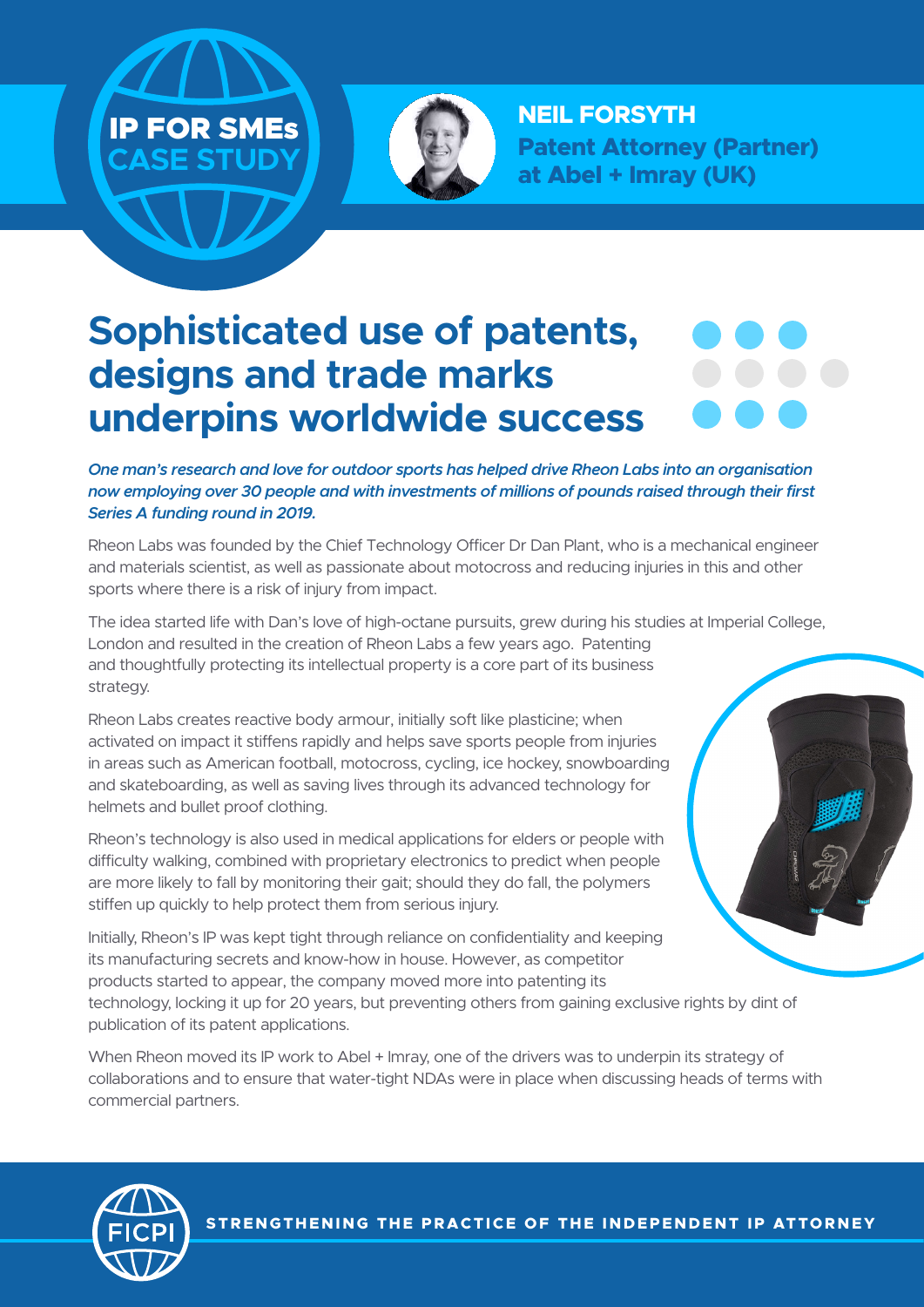



**NEIL FORSYTH Patent Attorney (Partner) at Abel + Imray (UK)**

## **Sophisticated use of patents, designs and trade marks underpins worldwide success**

*One man's research and love for outdoor sports has helped drive Rheon Labs into an organisation now employing over 30 people and with investments of millions of pounds raised through their first Series A funding round in 2019.* 

Rheon Labs was founded by the Chief Technology Officer Dr Dan Plant, who is a mechanical engineer and materials scientist, as well as passionate about motocross and reducing injuries in this and other sports where there is a risk of injury from impact.

The idea started life with Dan's love of high-octane pursuits, grew during his studies at Imperial College, London and resulted in the creation of Rheon Labs a few years ago. Patenting and thoughtfully protecting its intellectual property is a core part of its business strategy.

Rheon Labs creates reactive body armour, initially soft like plasticine; when activated on impact it stiffens rapidly and helps save sports people from injuries in areas such as American football, motocross, cycling, ice hockey, snowboarding and skateboarding, as well as saving lives through its advanced technology for helmets and bullet proof clothing.

Rheon's technology is also used in medical applications for elders or people with difficulty walking, combined with proprietary electronics to predict when people are more likely to fall by monitoring their gait; should they do fall, the polymers stiffen up quickly to help protect them from serious injury.

Initially, Rheon's IP was kept tight through reliance on confidentiality and keeping its manufacturing secrets and know-how in house. However, as competitor products started to appear, the company moved more into patenting its technology, locking it up for 20 years, but preventing others from gaining exclusive rights by dint of publication of its patent applications.

When Rheon moved its IP work to Abel + Imray, one of the drivers was to underpin its strategy of collaborations and to ensure that water-tight NDAs were in place when discussing heads of terms with commercial partners.